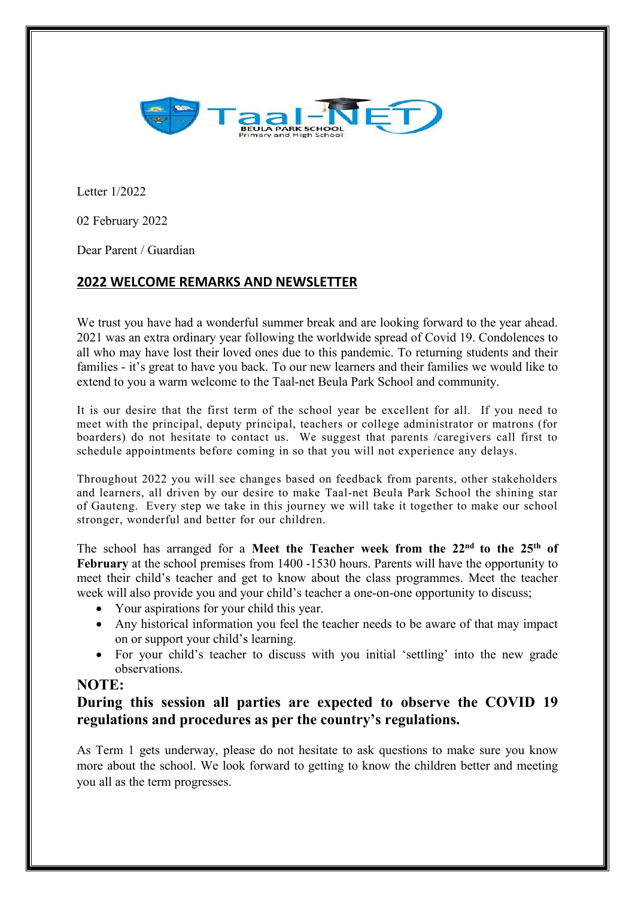

Letter 1/2022

02 February 2022

Dear Parent / Guardian

## **2022 WELCOME REMARKS AND NEWSLETTER**

We trust you have had a wonderful summer break and are looking forward to the year ahead. 2021 was an extra ordinary year following the worldwide spread of Covid 19. Condolences to all who may have lost their loved ones due to this pandemic. To returning students and their families - it's great to have you back. To our new learners and their families we would like to extend to you a warm welcome to the Taal-net Beula Park School and community.

It is our desire that the first term of the school year be excellent for all. If you need to meet with the principal, deputy principal, teachers or college administrator or matrons (for boarders) do not hesitate to contact us. We suggest that parents /caregivers call first to schedule appointments before coming in so that you will not experience any delays.

Throughout 2022 you will see changes based on feedback from parents, other stakeholders and learners, all driven by our desire to make Taal-net Beula Park School the shining star of Gauteng. Every step we take in this journey we will take it together to make our school stronger, wonderful and better for our children.

The school has arranged for a Meet the Teacher week from the  $22<sup>nd</sup>$  to the  $25<sup>th</sup>$  of  $\|\cdot\|$ **February** at the school premises from 1400 -1530 hours. Parents will have the opportunity to meet their child's teacher and get to know about the class programmes. Meet the teacher week will also provide you and your child's teacher a one-on-one opportunity to discuss;

- Your aspirations for your child this year.
- Any historical information you feel the teacher needs to be aware of that may impact on or support your child's learning.
- For your child's teacher to discuss with you initial 'settling' into the new grade observations.

## **NOTE:**

# **During thissession all parties are expected to observe the COVID 19 regulations and procedures as per the country's regulations.**

As Term 1 gets underway, please do not hesitate to ask questions to make sure you know more about the school. We look forward to getting to know the children better and meeting you all as the term progresses.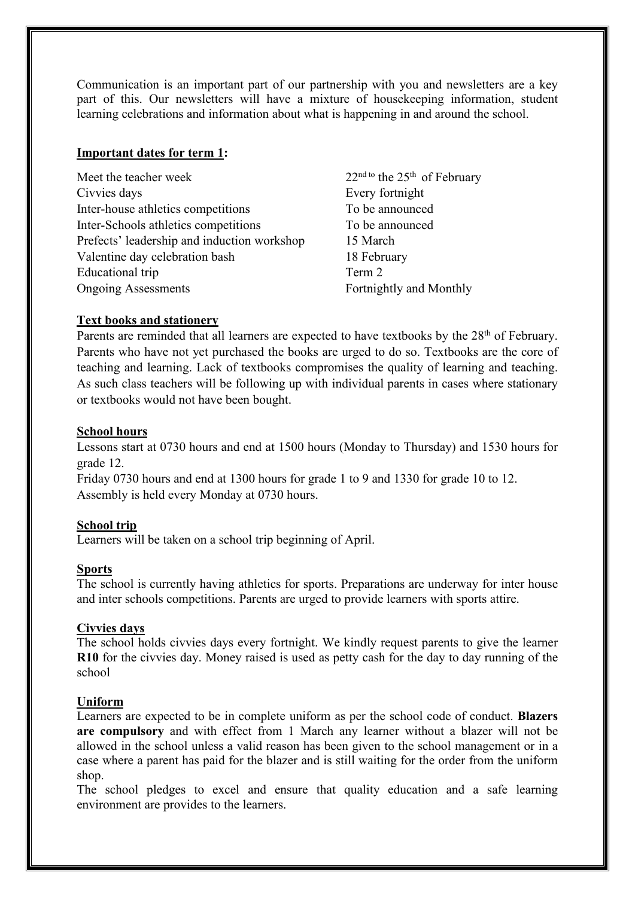Communication is an important part of our partnership with you and newsletters are a key part of this. Our newsletters will have a mixture of housekeeping information, student learning celebrations and information about what is happening in and around the school.

### **Important dates for term 1:**

Meet the teacher week  $22<sup>nd to</sup>$  the  $25<sup>th</sup>$  of February Civvies days Every fortnight Inter-house athletics competitions To be announced Inter-Schools athletics competitions To be announced Prefects' leadership and induction workshop 15 March Valentine day celebration bash 18 February Educational trip Term 2 Ongoing Assessments Fortnightly and Monthly

### **Text books and stationery**

Parents are reminded that all learners are expected to have textbooks by the  $28<sup>th</sup>$  of February. Parents who have not yet purchased the books are urged to do so. Textbooks are the core of teaching and learning. Lack of textbooks compromises the quality of learning and teaching. As such class teachers will be following up with individual parents in cases where stationary or textbooks would not have been bought.

#### **School hours**

Lessons start at 0730 hours and end at 1500 hours (Monday to Thursday) and 1530 hours for grade 12.

Friday 0730 hours and end at 1300 hours for grade 1 to 9 and 1330 for grade 10 to 12. Assembly is held every Monday at 0730 hours.

### **School trip**

Learners will be taken on a school trip beginning of April.

#### **Sports**

The school is currently having athletics for sports. Preparations are underway for inter house and inter schools competitions. Parents are urged to provide learners with sports attire.

## **Civvies days**

The school holds civvies days every fortnight. We kindly request parents to give the learner **R10** for the civvies day. Money raised is used as petty cash for the day to day running of the school

### **Uniform**

Learners are expected to be in complete uniform as per the school code of conduct. **Blazers are compulsory** and with effect from 1 March any learner without a blazer will not be allowed in the school unless a valid reason has been given to the school management or in a case where a parent has paid for the blazer and is still waiting for the order from the uniform shop.

The school pledges to excel and ensure that quality education and a safe learning environment are provides to the learners.